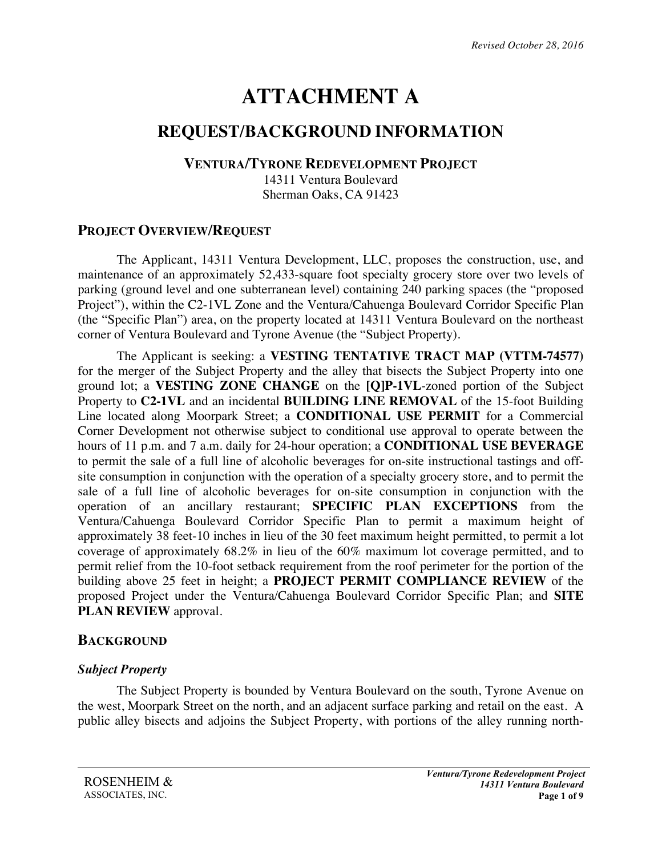# **ATTACHMENT A**

## **REQUEST/BACKGROUND INFORMATION**

#### **VENTURA/TYRONE REDEVELOPMENT PROJECT**

14311 Ventura Boulevard Sherman Oaks, CA 91423

## **PROJECT OVERVIEW/REQUEST**

The Applicant, 14311 Ventura Development, LLC, proposes the construction, use, and maintenance of an approximately 52,433-square foot specialty grocery store over two levels of parking (ground level and one subterranean level) containing 240 parking spaces (the "proposed Project"), within the C2-1VL Zone and the Ventura/Cahuenga Boulevard Corridor Specific Plan (the "Specific Plan") area, on the property located at 14311 Ventura Boulevard on the northeast corner of Ventura Boulevard and Tyrone Avenue (the "Subject Property).

The Applicant is seeking: a **VESTING TENTATIVE TRACT MAP (VTTM-74577)**  for the merger of the Subject Property and the alley that bisects the Subject Property into one ground lot; a **VESTING ZONE CHANGE** on the **[Q]P-1VL**-zoned portion of the Subject Property to **C2-1VL** and an incidental **BUILDING LINE REMOVAL** of the 15-foot Building Line located along Moorpark Street; a **CONDITIONAL USE PERMIT** for a Commercial Corner Development not otherwise subject to conditional use approval to operate between the hours of 11 p.m. and 7 a.m. daily for 24-hour operation; a **CONDITIONAL USE BEVERAGE** to permit the sale of a full line of alcoholic beverages for on-site instructional tastings and offsite consumption in conjunction with the operation of a specialty grocery store, and to permit the sale of a full line of alcoholic beverages for on-site consumption in conjunction with the operation of an ancillary restaurant; **SPECIFIC PLAN EXCEPTIONS** from the Ventura/Cahuenga Boulevard Corridor Specific Plan to permit a maximum height of approximately 38 feet-10 inches in lieu of the 30 feet maximum height permitted, to permit a lot coverage of approximately 68.2% in lieu of the 60% maximum lot coverage permitted, and to permit relief from the 10-foot setback requirement from the roof perimeter for the portion of the building above 25 feet in height; a **PROJECT PERMIT COMPLIANCE REVIEW** of the proposed Project under the Ventura/Cahuenga Boulevard Corridor Specific Plan; and **SITE PLAN REVIEW** approval.

## **BACKGROUND**

#### *Subject Property*

The Subject Property is bounded by Ventura Boulevard on the south, Tyrone Avenue on the west, Moorpark Street on the north, and an adjacent surface parking and retail on the east. A public alley bisects and adjoins the Subject Property, with portions of the alley running north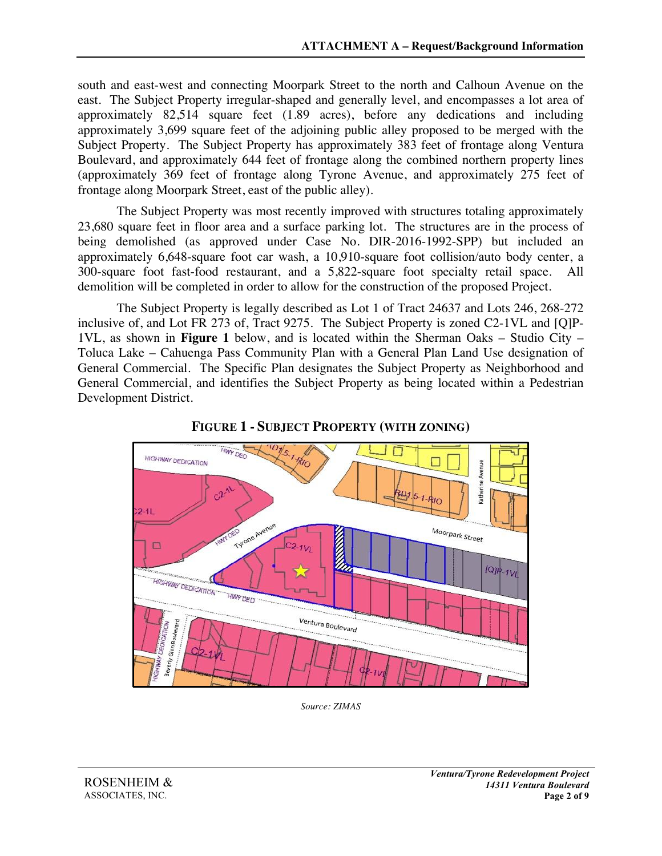south and east-west and connecting Moorpark Street to the north and Calhoun Avenue on the east. The Subject Property irregular-shaped and generally level, and encompasses a lot area of approximately 82,514 square feet (1.89 acres), before any dedications and including approximately 3,699 square feet of the adjoining public alley proposed to be merged with the Subject Property. The Subject Property has approximately 383 feet of frontage along Ventura Boulevard, and approximately 644 feet of frontage along the combined northern property lines (approximately 369 feet of frontage along Tyrone Avenue, and approximately 275 feet of frontage along Moorpark Street, east of the public alley).

The Subject Property was most recently improved with structures totaling approximately 23,680 square feet in floor area and a surface parking lot. The structures are in the process of being demolished (as approved under Case No. DIR-2016-1992-SPP) but included an approximately 6,648-square foot car wash, a 10,910-square foot collision/auto body center, a 300-square foot fast-food restaurant, and a 5,822-square foot specialty retail space. All demolition will be completed in order to allow for the construction of the proposed Project.

The Subject Property is legally described as Lot 1 of Tract 24637 and Lots 246, 268-272 inclusive of, and Lot FR 273 of, Tract 9275. The Subject Property is zoned C2-1VL and [Q]P-1VL, as shown in **Figure 1** below, and is located within the Sherman Oaks – Studio City – Toluca Lake – Cahuenga Pass Community Plan with a General Plan Land Use designation of General Commercial. The Specific Plan designates the Subject Property as Neighborhood and General Commercial, and identifies the Subject Property as being located within a Pedestrian Development District.



**FIGURE 1 - SUBJECT PROPERTY (WITH ZONING)**

*Source: ZIMAS*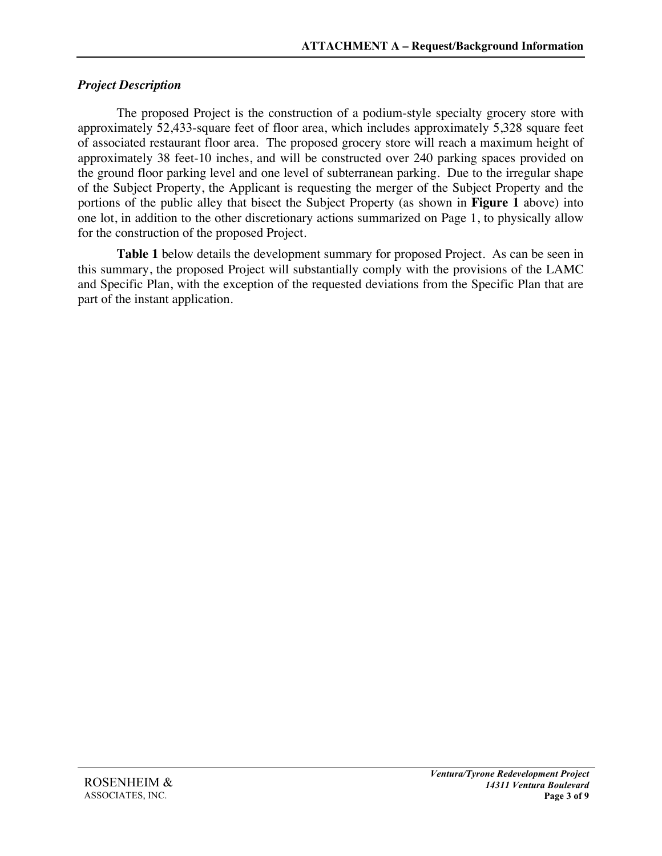#### *Project Description*

The proposed Project is the construction of a podium-style specialty grocery store with approximately 52,433-square feet of floor area, which includes approximately 5,328 square feet of associated restaurant floor area. The proposed grocery store will reach a maximum height of approximately 38 feet-10 inches, and will be constructed over 240 parking spaces provided on the ground floor parking level and one level of subterranean parking. Due to the irregular shape of the Subject Property, the Applicant is requesting the merger of the Subject Property and the portions of the public alley that bisect the Subject Property (as shown in **Figure 1** above) into one lot, in addition to the other discretionary actions summarized on Page 1, to physically allow for the construction of the proposed Project.

**Table 1** below details the development summary for proposed Project. As can be seen in this summary, the proposed Project will substantially comply with the provisions of the LAMC and Specific Plan, with the exception of the requested deviations from the Specific Plan that are part of the instant application.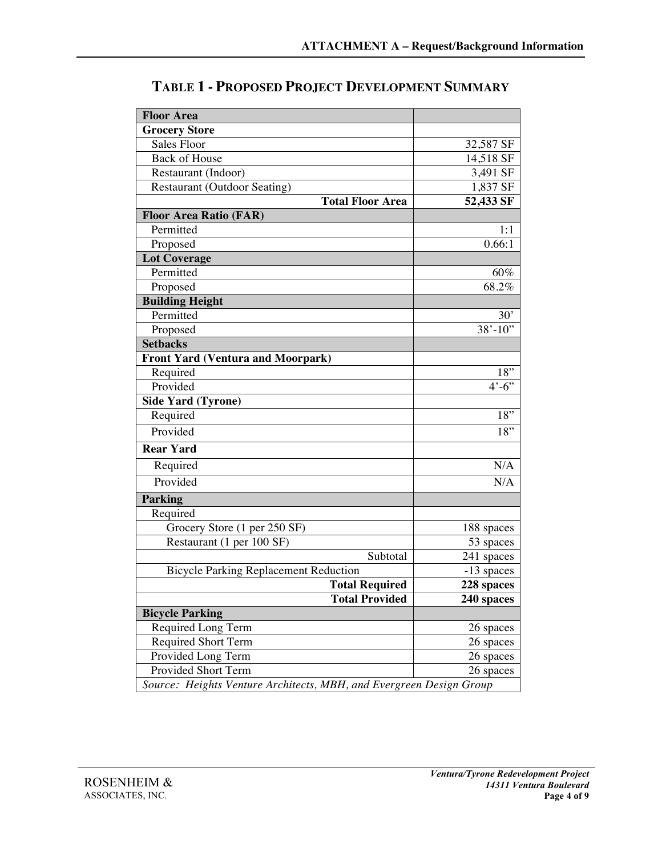| <b>Floor Area</b>                                                   |                         |
|---------------------------------------------------------------------|-------------------------|
| <b>Grocery Store</b>                                                |                         |
| Sales Floor                                                         | 32,587 SF               |
| <b>Back of House</b>                                                | 14,518 SF               |
| Restaurant (Indoor)                                                 | 3,491 SF                |
| <b>Restaurant (Outdoor Seating)</b>                                 | 1,837 SF                |
| <b>Total Floor Area</b>                                             | 52,433 SF               |
| <b>Floor Area Ratio (FAR)</b>                                       |                         |
| Permitted                                                           | 1:1                     |
| Proposed                                                            | 0.66:1                  |
| <b>Lot Coverage</b>                                                 |                         |
| Permitted                                                           | 60%                     |
| Proposed                                                            | 68.2%                   |
| <b>Building Height</b>                                              |                         |
| Permitted                                                           | 30'                     |
| Proposed                                                            | $38' - 10'$             |
| <b>Setbacks</b>                                                     |                         |
| <b>Front Yard (Ventura and Moorpark)</b>                            |                         |
| Required                                                            | 18"                     |
| Provided                                                            | $4^{\circ} - 6^{\circ}$ |
| <b>Side Yard (Tyrone)</b>                                           |                         |
| Required                                                            | 18"                     |
| Provided                                                            | 18"                     |
| <b>Rear Yard</b>                                                    |                         |
| Required                                                            | N/A                     |
| Provided                                                            | N/A                     |
| <b>Parking</b>                                                      |                         |
| Required                                                            |                         |
| Grocery Store (1 per 250 SF)                                        | 188 spaces              |
| Restaurant (1 per 100 SF)                                           | 53 spaces               |
| Subtotal                                                            | 241 spaces              |
| <b>Bicycle Parking Replacement Reduction</b>                        | -13 spaces              |
| <b>Total Required</b>                                               | 228 spaces              |
| <b>Total Provided</b>                                               | 240 spaces              |
| <b>Bicycle Parking</b>                                              |                         |
| Required Long Term                                                  | 26 spaces               |
| <b>Required Short Term</b>                                          | 26 spaces               |
| Provided Long Term                                                  | 26 spaces               |
| Provided Short Term                                                 | 26 spaces               |
| Source: Heights Venture Architects, MBH, and Evergreen Design Group |                         |

**TABLE 1 - PROPOSED PROJECT DEVELOPMENT SUMMARY**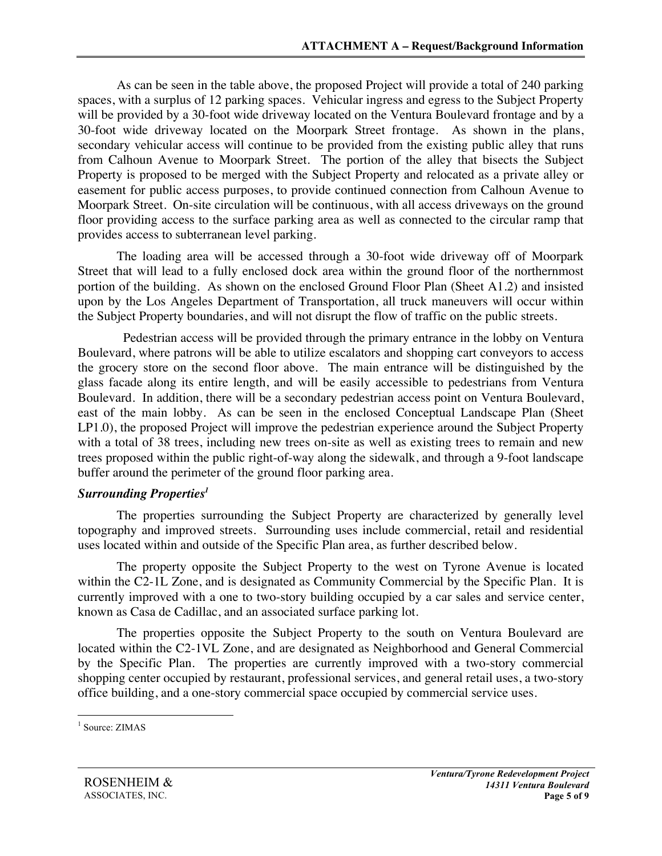As can be seen in the table above, the proposed Project will provide a total of 240 parking spaces, with a surplus of 12 parking spaces. Vehicular ingress and egress to the Subject Property will be provided by a 30-foot wide driveway located on the Ventura Boulevard frontage and by a 30-foot wide driveway located on the Moorpark Street frontage. As shown in the plans, secondary vehicular access will continue to be provided from the existing public alley that runs from Calhoun Avenue to Moorpark Street. The portion of the alley that bisects the Subject Property is proposed to be merged with the Subject Property and relocated as a private alley or easement for public access purposes, to provide continued connection from Calhoun Avenue to Moorpark Street. On-site circulation will be continuous, with all access driveways on the ground floor providing access to the surface parking area as well as connected to the circular ramp that provides access to subterranean level parking.

The loading area will be accessed through a 30-foot wide driveway off of Moorpark Street that will lead to a fully enclosed dock area within the ground floor of the northernmost portion of the building. As shown on the enclosed Ground Floor Plan (Sheet A1.2) and insisted upon by the Los Angeles Department of Transportation, all truck maneuvers will occur within the Subject Property boundaries, and will not disrupt the flow of traffic on the public streets.

Pedestrian access will be provided through the primary entrance in the lobby on Ventura Boulevard, where patrons will be able to utilize escalators and shopping cart conveyors to access the grocery store on the second floor above. The main entrance will be distinguished by the glass facade along its entire length, and will be easily accessible to pedestrians from Ventura Boulevard. In addition, there will be a secondary pedestrian access point on Ventura Boulevard, east of the main lobby. As can be seen in the enclosed Conceptual Landscape Plan (Sheet LP1.0), the proposed Project will improve the pedestrian experience around the Subject Property with a total of 38 trees, including new trees on-site as well as existing trees to remain and new trees proposed within the public right-of-way along the sidewalk, and through a 9-foot landscape buffer around the perimeter of the ground floor parking area.

#### *Surrounding Properties1*

The properties surrounding the Subject Property are characterized by generally level topography and improved streets. Surrounding uses include commercial, retail and residential uses located within and outside of the Specific Plan area, as further described below.

The property opposite the Subject Property to the west on Tyrone Avenue is located within the C2-1L Zone, and is designated as Community Commercial by the Specific Plan. It is currently improved with a one to two-story building occupied by a car sales and service center, known as Casa de Cadillac, and an associated surface parking lot.

The properties opposite the Subject Property to the south on Ventura Boulevard are located within the C2-1VL Zone, and are designated as Neighborhood and General Commercial by the Specific Plan. The properties are currently improved with a two-story commercial shopping center occupied by restaurant, professional services, and general retail uses, a two-story office building, and a one-story commercial space occupied by commercial service uses.

<sup>&</sup>lt;sup>1</sup> Source: ZIMAS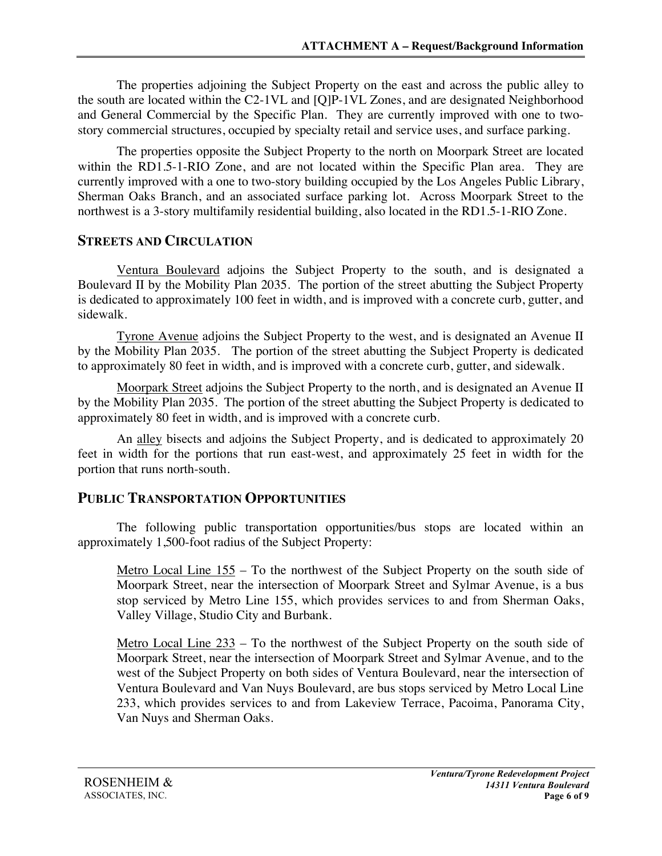The properties adjoining the Subject Property on the east and across the public alley to the south are located within the C2-1VL and [Q]P-1VL Zones, and are designated Neighborhood and General Commercial by the Specific Plan. They are currently improved with one to twostory commercial structures, occupied by specialty retail and service uses, and surface parking.

The properties opposite the Subject Property to the north on Moorpark Street are located within the RD1.5-1-RIO Zone, and are not located within the Specific Plan area. They are currently improved with a one to two-story building occupied by the Los Angeles Public Library, Sherman Oaks Branch, and an associated surface parking lot. Across Moorpark Street to the northwest is a 3-story multifamily residential building, also located in the RD1.5-1-RIO Zone.

#### **STREETS AND CIRCULATION**

Ventura Boulevard adjoins the Subject Property to the south, and is designated a Boulevard II by the Mobility Plan 2035. The portion of the street abutting the Subject Property is dedicated to approximately 100 feet in width, and is improved with a concrete curb, gutter, and sidewalk.

Tyrone Avenue adjoins the Subject Property to the west, and is designated an Avenue II by the Mobility Plan 2035. The portion of the street abutting the Subject Property is dedicated to approximately 80 feet in width, and is improved with a concrete curb, gutter, and sidewalk.

Moorpark Street adjoins the Subject Property to the north, and is designated an Avenue II by the Mobility Plan 2035. The portion of the street abutting the Subject Property is dedicated to approximately 80 feet in width, and is improved with a concrete curb.

An alley bisects and adjoins the Subject Property, and is dedicated to approximately 20 feet in width for the portions that run east-west, and approximately 25 feet in width for the portion that runs north-south.

#### **PUBLIC TRANSPORTATION OPPORTUNITIES**

The following public transportation opportunities/bus stops are located within an approximately 1,500-foot radius of the Subject Property:

Metro Local Line  $155$  – To the northwest of the Subject Property on the south side of Moorpark Street, near the intersection of Moorpark Street and Sylmar Avenue, is a bus stop serviced by Metro Line 155, which provides services to and from Sherman Oaks, Valley Village, Studio City and Burbank.

Metro Local Line 233 – To the northwest of the Subject Property on the south side of Moorpark Street, near the intersection of Moorpark Street and Sylmar Avenue, and to the west of the Subject Property on both sides of Ventura Boulevard, near the intersection of Ventura Boulevard and Van Nuys Boulevard, are bus stops serviced by Metro Local Line 233, which provides services to and from Lakeview Terrace, Pacoima, Panorama City, Van Nuys and Sherman Oaks.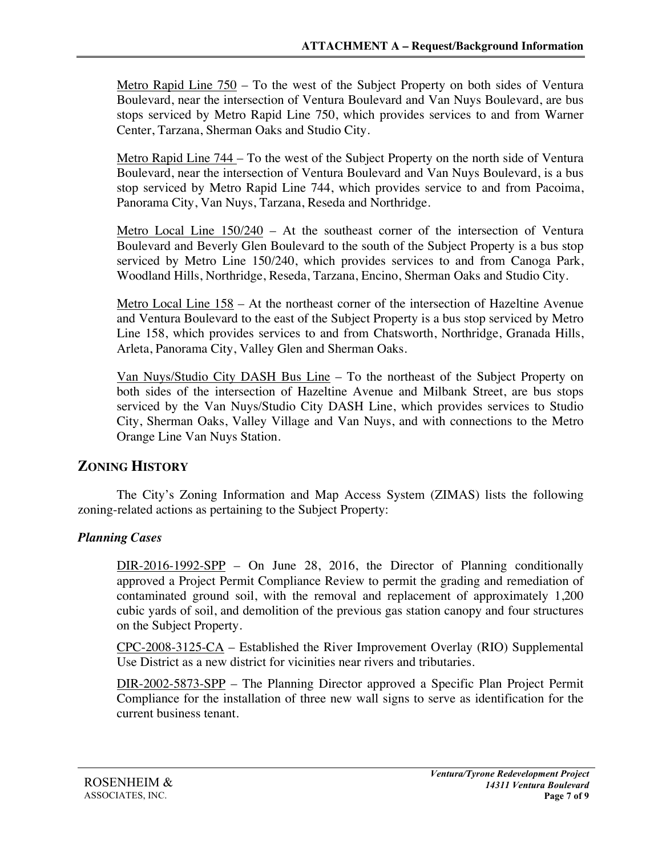Metro Rapid Line 750 – To the west of the Subject Property on both sides of Ventura Boulevard, near the intersection of Ventura Boulevard and Van Nuys Boulevard, are bus stops serviced by Metro Rapid Line 750, which provides services to and from Warner Center, Tarzana, Sherman Oaks and Studio City.

Metro Rapid Line 744 – To the west of the Subject Property on the north side of Ventura Boulevard, near the intersection of Ventura Boulevard and Van Nuys Boulevard, is a bus stop serviced by Metro Rapid Line 744, which provides service to and from Pacoima, Panorama City, Van Nuys, Tarzana, Reseda and Northridge.

Metro Local Line 150/240 – At the southeast corner of the intersection of Ventura Boulevard and Beverly Glen Boulevard to the south of the Subject Property is a bus stop serviced by Metro Line 150/240, which provides services to and from Canoga Park, Woodland Hills, Northridge, Reseda, Tarzana, Encino, Sherman Oaks and Studio City.

Metro Local Line 158 – At the northeast corner of the intersection of Hazeltine Avenue and Ventura Boulevard to the east of the Subject Property is a bus stop serviced by Metro Line 158, which provides services to and from Chatsworth, Northridge, Granada Hills, Arleta, Panorama City, Valley Glen and Sherman Oaks.

Van Nuys/Studio City DASH Bus Line – To the northeast of the Subject Property on both sides of the intersection of Hazeltine Avenue and Milbank Street, are bus stops serviced by the Van Nuys/Studio City DASH Line, which provides services to Studio City, Sherman Oaks, Valley Village and Van Nuys, and with connections to the Metro Orange Line Van Nuys Station.

## **ZONING HISTORY**

The City's Zoning Information and Map Access System (ZIMAS) lists the following zoning-related actions as pertaining to the Subject Property:

#### *Planning Cases*

DIR-2016-1992-SPP – On June 28, 2016, the Director of Planning conditionally approved a Project Permit Compliance Review to permit the grading and remediation of contaminated ground soil, with the removal and replacement of approximately 1,200 cubic yards of soil, and demolition of the previous gas station canopy and four structures on the Subject Property.

CPC-2008-3125-CA – Established the River Improvement Overlay (RIO) Supplemental Use District as a new district for vicinities near rivers and tributaries.

DIR-2002-5873-SPP – The Planning Director approved a Specific Plan Project Permit Compliance for the installation of three new wall signs to serve as identification for the current business tenant.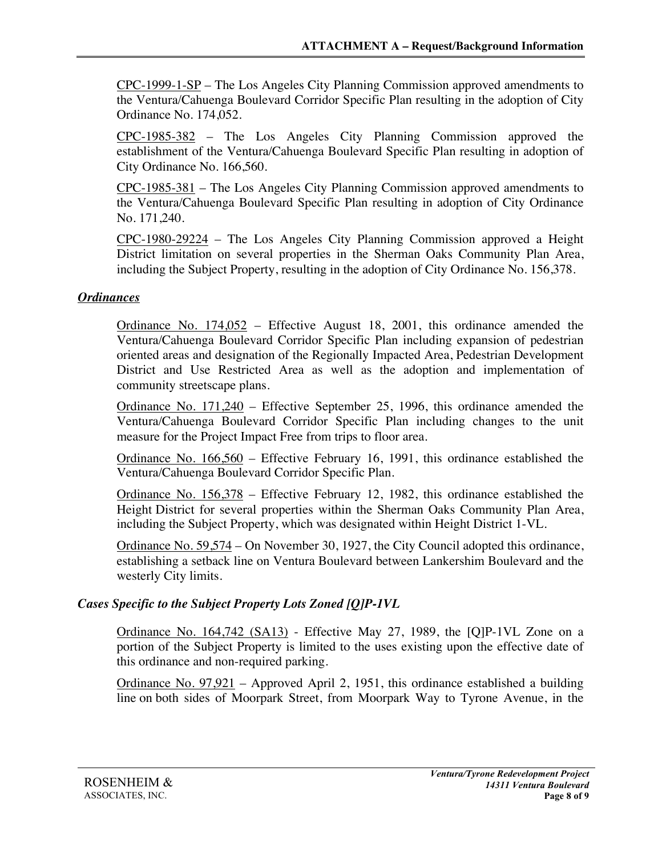CPC-1999-1-SP – The Los Angeles City Planning Commission approved amendments to the Ventura/Cahuenga Boulevard Corridor Specific Plan resulting in the adoption of City Ordinance No. 174,052.

CPC-1985-382 – The Los Angeles City Planning Commission approved the establishment of the Ventura/Cahuenga Boulevard Specific Plan resulting in adoption of City Ordinance No. 166,560.

CPC-1985-381 – The Los Angeles City Planning Commission approved amendments to the Ventura/Cahuenga Boulevard Specific Plan resulting in adoption of City Ordinance No. 171,240.

CPC-1980-29224 – The Los Angeles City Planning Commission approved a Height District limitation on several properties in the Sherman Oaks Community Plan Area, including the Subject Property, resulting in the adoption of City Ordinance No. 156,378.

#### *Ordinances*

Ordinance No. 174,052 – Effective August 18, 2001, this ordinance amended the Ventura/Cahuenga Boulevard Corridor Specific Plan including expansion of pedestrian oriented areas and designation of the Regionally Impacted Area, Pedestrian Development District and Use Restricted Area as well as the adoption and implementation of community streetscape plans.

Ordinance No. 171,240 – Effective September 25, 1996, this ordinance amended the Ventura/Cahuenga Boulevard Corridor Specific Plan including changes to the unit measure for the Project Impact Free from trips to floor area.

Ordinance No. 166,560 – Effective February 16, 1991, this ordinance established the Ventura/Cahuenga Boulevard Corridor Specific Plan.

Ordinance No. 156,378 – Effective February 12, 1982, this ordinance established the Height District for several properties within the Sherman Oaks Community Plan Area, including the Subject Property, which was designated within Height District 1-VL.

Ordinance No. 59,574 – On November 30, 1927, the City Council adopted this ordinance, establishing a setback line on Ventura Boulevard between Lankershim Boulevard and the westerly City limits.

## *Cases Specific to the Subject Property Lots Zoned [Q]P-1VL*

Ordinance No. 164,742 (SA13) - Effective May 27, 1989, the [Q]P-1VL Zone on a portion of the Subject Property is limited to the uses existing upon the effective date of this ordinance and non-required parking.

Ordinance No. 97,921 – Approved April 2, 1951, this ordinance established a building line on both sides of Moorpark Street, from Moorpark Way to Tyrone Avenue, in the